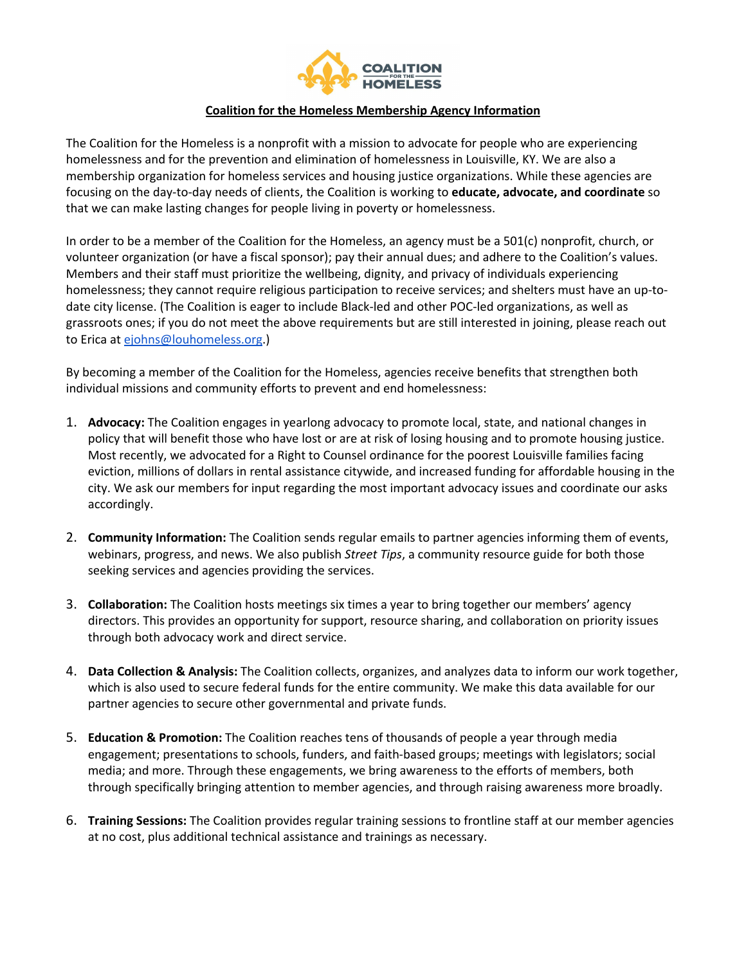

## **Coalition for the Homeless Membership Agency Information**

The Coalition for the Homeless is a nonprofit with a mission to advocate for people who are experiencing homelessness and for the prevention and elimination of homelessness in Louisville, KY. We are also a membership organization for homeless services and housing justice organizations. While these agencies are focusing on the day-to-day needs of clients, the Coalition is working to **educate, advocate, and coordinate** so that we can make lasting changes for people living in poverty or homelessness.

In order to be a member of the Coalition for the Homeless, an agency must be a 501(c) nonprofit, church, or volunteer organization (or have a fiscal sponsor); pay their annual dues; and adhere to the Coalition's values. Members and their staff must prioritize the wellbeing, dignity, and privacy of individuals experiencing homelessness; they cannot require religious participation to receive services; and shelters must have an up-todate city license. (The Coalition is eager to include Black-led and other POC-led organizations, as well as grassroots ones; if you do not meet the above requirements but are still interested in joining, please reach out to Erica at ejohns@louhomeless.org.)

By becoming a member of the Coalition for the Homeless, agencies receive benefits that strengthen both individual missions and community efforts to prevent and end homelessness:

- 1. **Advocacy:** The Coalition engages in yearlong advocacy to promote local, state, and national changes in policy that will benefit those who have lost or are at risk of losing housing and to promote housing justice. Most recently, we advocated for a Right to Counsel ordinance for the poorest Louisville families facing eviction, millions of dollars in rental assistance citywide, and increased funding for affordable housing in the city. We ask our members for input regarding the most important advocacy issues and coordinate our asks accordingly.
- 2. **Community Information:** The Coalition sends regular emails to partner agencies informing them of events, webinars, progress, and news. We also publish *Street Tips*, a community resource guide for both those seeking services and agencies providing the services.
- 3. **Collaboration:** The Coalition hosts meetings six times a year to bring together our members' agency directors. This provides an opportunity for support, resource sharing, and collaboration on priority issues through both advocacy work and direct service.
- 4. **Data Collection & Analysis:** The Coalition collects, organizes, and analyzes data to inform our work together, which is also used to secure federal funds for the entire community. We make this data available for our partner agencies to secure other governmental and private funds.
- 5. **Education & Promotion:** The Coalition reaches tens of thousands of people a year through media engagement; presentations to schools, funders, and faith-based groups; meetings with legislators; social media; and more. Through these engagements, we bring awareness to the efforts of members, both through specifically bringing attention to member agencies, and through raising awareness more broadly.
- 6. **Training Sessions:** The Coalition provides regular training sessions to frontline staff at our member agencies at no cost, plus additional technical assistance and trainings as necessary.